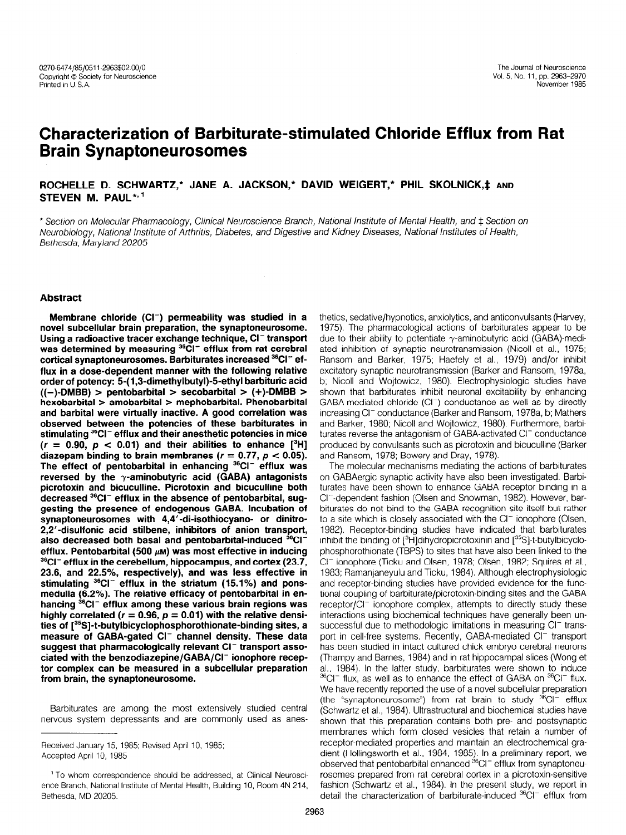# Characterization of Barbiturate-stimulated Chloride Efflux from Rat Brain Synaptoneurosomes

ROCHELLE D. SCHWARTZ,\* JANE A. JACKSON,\* DAVID WEIGERT,\* PHIL SKOLNICK,\* AND STEVEN M. PAUL\*,<sup>1</sup>

\* Section on Molecular Pharmacology, Clinical Neuroscience Branch, National Institute of Mental Health, and  $\ddagger$  Section on Neurobiology, National Institute of Arthritis, Diabetes, and Digestive and Kidney Diseases, National Institutes of Health, Bethesda, Maryland 20205

## Abstract

Membrane chloride  $(Cl^-)$  permeability was studied in a novel subcellular brain preparation, the synaptoneurosome. Using a radioactive tracer exchange technique, CI<sup>-</sup> transport was determined by measuring <sup>36</sup>CI<sup>-</sup> efflux from rat cerebral cortical synaptoneurosomes. Barbiturates increased <sup>36</sup>CI<sup>-</sup> efflux in a dose-dependent manner with the following relative order of potency: 5-( 1,3-dimethylbutyl)-5-ethyl barbituric acid  $((-)$ -DMBB) > pentobarbital > secobarbital >  $(+)$ -DMBB > hexobarbital > amobarbital > mephobarbital. Phenobarbital and barbital were virtually inactive. A good correlation was observed between the potencies of these barbiturates in spoort our both our line persisties on linese bursiners of in<br>stimulation 36CI- efflux and their anesthetic potencies in mice (r = 0.90, p c 0.01) and their abilities to enhance [3H]  $(r = 0.90, p < 0.01)$  and their abilities to enhance  $[^3H]$  diazepam binding to brain membranes  $(r = 0.77, p < 0.05)$ . The effect of pentobarbital in enhancing <sup>36</sup>CI<sup>-</sup> efflux was reversed by the  $\gamma$ -aminobutyric acid (GABA) antagonists picrotoxin and bicuculline. Picrotoxin and bicuculline both decreased <sup>36</sup>CI<sup>-</sup> efflux in the absence of pentobarbital, suggesting the presence of endogenous GABA. Incubation of synaptoneurosomes with 4,4'-di-isothiocyano- or dinitro-2,2'-disulfonic acid stilbene, inhibitors of anion transport, also decreased both basal and pentobarbital-induced <sup>36</sup>CI<sup>-</sup> efflux. Pentobarbital (500  $\mu$ m) was most effective in inducing  $36a - 6a$  in the cerebral value of  $\mu$ m, has most checare in magazing  $23.6$  cm  $23.5$ ,  $23.5$ ,  $25.5$ 23.6, and 22.5%, respectively), and was less effective in stimulating  $36$ Cl<sup>-</sup> efflux in the striatum (15.1%) and ponsmedulla (6.2%). The relative efficacy of pentobarbital in enhancing  ${}^{36}$ CI<sup>-</sup> efflux among these various brain regions was highly correlated ( $r = 0.96$ ,  $p = 0.01$ ) with the relative densities of [35S]-t-butylbicyclophosphorothionate-binding sites, a measure of GABA-gated Cl<sup>-</sup> channel density. These data suggest that pharmacologically relevant CI<sup>-</sup> transport associated with the benzodiazepine/GABA/CI<sup>-</sup> ionophore receptor complex can be measured in a subcellular preparation from brain, the synaptoneurosome.

Barbiturates are among the most extensively studied central nervous system depressants and are commonly used as anes-

Received January 15, 1985; Revised April 10, 1985; Accepted April 10, 1985

thetics, sedative/hypnotics, anxiolytics, and anticonvulsants (Harvey, 1975). The pharmacological actions of barbiturates appear to be due to their ability to potentiate  $\gamma$ -aminobutyric acid (GABA)-mediated inhibition of synaptic neurotransmission (Nicoll et al., 1975; Ransom and Barker, 1975; Haefely et al., 1979) and/or inhibit excitatory synaptic neurotransmission (Barker and Ransom, 1978a, b; Nicoll and Wojtowicz, 1980). Electrophysiologic studies have shown that barbiturates inhibit neuronal excitability by enhancing GABA-mediated chloride (Cl<sup>-</sup>) conductance as well as by directly increasing Cl<sup>-</sup> conductance (Barker and Ransom, 1978a, b; Mathers and Barker, 1980; Nicoll and Wojtowicz, 1980). Furthermore, barbiturates reverse the antagonism of GABA-activated CI<sup>-</sup> conductance produced by convulsants such as picrotoxin and bicuculline (Barker and Ransom, 1978; Bowery and Dray, 1978).

The molecular mechanisms mediating the actions of barbiturates on GABAergic synaptic activity have also been investigated. Barbiturates have been shown to enhance GABA receptor binding in a clears have been snown to childred and receptor binaing in a biturates do not bind to the GABA recognition site itself but rather than the definition site is a state of the site in the site in the site of the site in the site of the site of the site of the site of the site of the si to a site which is completed with the Clerk with the Clerk with the Clerk with the Clerk with the Clerk with the Clerk with the Clerk with the Clerk with the Clerk with the Clerk with the Clerk with the Clerk with the Cler  $1988$ . Receptor-binding studies have indicated that barbiturates have indicated that barbiturates have indicated that barbiturates  $\sim$ 1982). Receptor-binding studies have indicated that barbiturates inhibit the binding of  $[^{3}H]$ dihydropicrotoxinin and  $[^{3}S]$ -t-butylbicyclo $p$  photomate  $p$  and  $p$  or  $p$  in the have also been lineared to the theory and the theory also be also been linked to the theory and the set of  $p$  $\frac{1}{2}$ Clifton phore (TDF of  $\frac{1}{2}$ ) to sites that have also been inneed to the CI<sup>-</sup> ionophore (Ticku and Olsen, 1978; Olsen, 1982; Squires et al., 1983; Ramanjaneyulu and Ticku, 1984). Although electrophysiologic<br>and receptor-binding studies have provided evidence for the funcand receptor-binding studies have provided evidence for the function of the GABA  $r_{\text{c}}$  ional coupling of barbiturate/picrotoxiri-biriumig sites and the GADA receptor/CI<sup>-</sup> ionophore complex, attempts to directly study these interactions using biochemical techniques have generally been unsuccessful due to methodologic limitations in measuring Cl<sup>-</sup> transport in cell-free systems. Recently, GABA-mediated Cl<sup>-</sup> transport has been studied in intact cultured chick embryo cerebral neurons (Thampy and Barnes, 1984) and in rat hippocampal slices (Wong et al., 1984). In the latter study, barbiturates were shown to induce  $^{36}$ Cl<sup>-</sup> flux, as well as to enhance the effect of GABA on  $^{36}$ Cl<sup>-</sup> flux. We have recently reported the use of a novel subcellular preparation (the "synaptoneurosome") from rat brain to study  ${}^{36}Cl^-$  efflux (Schwartz et al., 1984). Ultrastructural and biochemical studies have shown that this preparation contains both pre- and postsynaptic membranes which form closed vesicles that retain a number of receptor-mediated properties and maintain an electrochemical gradient (Hollingsworth et al., 1984, 1985). In a preliminary report, we observed that pentobarbital enhanced <sup>36</sup>Cl<sup>-</sup> efflux from synaptoneurosomes prepared from rat cerebral cortex in a picrotoxin-sensitive fashion (Schwartz et al., 1984). In the present study, we report in detail the characterization of barbiturate-induced  $^{36}$ CI<sup>-</sup> efflux from

<sup>&</sup>lt;sup>1</sup> To whom correspondence should be addressed, at Clinical Neuroscience Branch. National Institute of Mental Health. Building 10, Room 4N 214. Bethesda, MD 20205.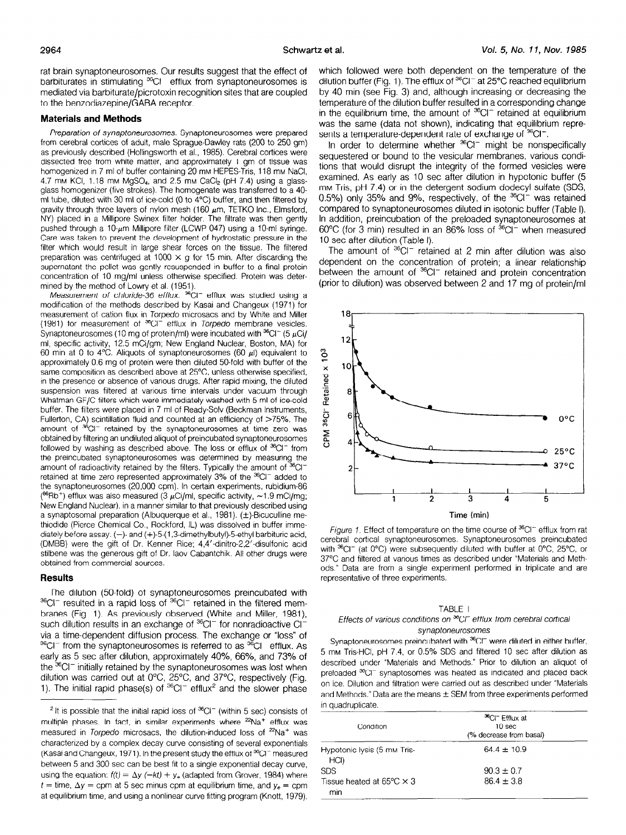rat brain synaptoneurosomes. Our results suggest that the effect of barbiturates in stimulating  ${}^{36}$ CI<sup>-</sup> efflux from synaptoneurosomes is mediated via barbiturate/picrotoxin recognition sites that are coupled to the benzodiazepine/GABA receptor.

## Materials and Methods

Preparation of synaptoneurosomes. Synaptoneurosomes were prepared from cerebral cortices of adult, male Sprague-Dawley rats (200 to 250 gm) as previously described (Hollingsworth et al., 1985). Cerebral cortices were dissected free from white matter, and approximately 1 gm of tissue was homogenized in 7 ml of buffer containing 20 mm HEPES-Tris, 118 mm NaCl, 4.7 mm KCI, 1.18 mm MgSO<sub>4</sub>, and 2.5 mm CaCl<sub>2</sub> (pH 7.4) using a glassglass homogenizer (five strokes). The homogenate was transferred to a 40. ml tube, diluted with 30 ml of ice-cold (0 to 4°C) buffer, and then filtered by gravity through three layers of nylon mesh (160  $\mu$ m, TETKO Inc., Elmsford, NY) placed in a Millipore Swinex filter holder. The filtrate was then gently pushed through a 10- $\mu$ m Millipore filter (LCWP 047) using a 10-ml syringe. Care was taken to prevent the development of hydrostatic pressure in the filter which would result in large shear forces on the tissue. The filtered preparation was centrifuged at 1000  $\times$  g for 15 min. After discarding the supernatant the pellet was gently resuspended in buffer to a final protein concentration of 10 mg/ml unless otherwise specified. Protein was determined by the method of Lowry et al. (1951).

Measurement of chloride-36 efflux.  $^{36}$ CI<sup>-</sup> efflux was studied using a modification of the methods descrrbed by Kasai and Changeux (1971) for measurement of cation flux in Torpedo microsacs and by White and Miller (1981) for measurement of  $^{\text{36}}\text{Cl}^-$  efflux in Torpedo membrane vesicles. Synaptoneurosomes (10 mg of protein/ml) were incubated with  ${}^{36}Cl^-$  (5  $\mu$ Ci/  $m_1$ , specific actrices, 12.5 mCi/gm; New England Nuclear, Boston, MA) for  $\frac{60}{20}$  mm at 0 to 4%. Aliquots of synaptoneurosomes  $\frac{60}{20}$ , it equivalent to 60 min at 0 to 4°C. Aliquots of synaptoneurosomes (60  $\mu$ I) equivalent to approximately 0.6 mg of protein were then diluted 50-fold with buffer of the same composition as described above at 25°C, unless otherwise specified, in the presence or absence of various drugs, After rapid mixing, the diluted suspension was filtered at various time intervals under vacuum through Whatman GF/C filters which were immediately washed with 5 ml of ice-cold buffer. The filters were placed in 7 ml of Ready-Solv (Beckman Instruments, Fullerton, CA) scintillation fluid and counted at an efficiency of  $>75\%$ . The amount of <sup>36</sup>CI<sup>-</sup> retained by the synaptoneurosomes at time zero was obtained by filtering an undiluted aliquot of preincubated synaptoneurosomes followed by washing as described above. The loss or efflux of  ${}^{36}Cl^-$  from the preincubated synaptoneurosomes was determined by measuring the amount of radioactivity retained by the filters. Typically the amount of  $36$ CIretained at time zero represented approximately 3% of the <sup>36</sup>Cl<sup>-</sup> added to the synaptoneurosomes (20,000 cpm). In certain experiments, rubidium-86 ( $^{86}$ Rb<sup>+</sup>) efflux was also measured (3  $\mu$ Ci/ml, specific activity,  $\sim$ 1.9 mCi/mg;  $N_{\rm H}$  in a manner via disc measured to  $\mu$  of  $m_{\rm H}$ , upcome determines in a manner  $\mu$  $\alpha$  synaptos preparation (Albuquerque et al., 1981). ( $\alpha$  individually described using  $t_{\text{c}}$  continuous chemical Co.,  $t_{\text{c}}$  and  $t_{\text{c}}$  and  $t_{\text{c}}$  and  $t_{\text{c}}$  respectively.  $\mu$ lodiately before chemical CO., nockloru, iL) was dissolved in barier immet diately before assay.  $(-)$ - and  $(+)$ -5- $(1,3$ -dimethylbutyl)-5-ethyl barbituric acid, (DMBB) were the gift of Dr. Kenner Rice: 4.4' dinitro-2.2' disulfonic acid stilbene was the generous gift of Dr. laov Cabantchik. All other drugs were obtained from commercial sources.

#### **Results**

The dilution (50.fold) of synaptoneurosomes preincubated with  $36$ Cl<sup>-</sup> resulted in a rapid loss of  $36$ Cl<sup>-</sup> retained in the filtered membranes (Fig. 1). As previously observed (White and Miller, 1981),  $s$  and  $s$  results in an exchange of  $s$  for  $s$  for  $s$  for  $s$  for  $s$  for  $s$  for  $s$  for  $s$  for  $s$  for  $s$  for  $s$  for  $s$  for  $s$  for  $s$  for  $s$  for  $s$  for  $s$  for  $s$  for  $s$  for  $s$  for  $s$  for  $s$  for  $s$  for via a time-dependent diffusion process. The exchange of the exchange of the exchange of  $\alpha$ via a lime-dependent dinusion process. The exchange of 10ss to  $\sim$   $\sigma$   $\sim$  110 m and 8 synaptometrosomes is referred to as  $\sim$   $\sigma$  emitted. As early as 5 sec after dilution, approximately 40%, 66%, and 73% of the <sup>36</sup>Cl<sup>-</sup> initially retained by the synaptoneurosomes was lost when dilution was carried out at  $0^{\circ}$ C,  $25^{\circ}$ C, and  $37^{\circ}$ C, respectively (Fig. 1). The initial rapid phase(s) of  $36^{\circ}$ Cl<sup>-</sup> efflux<sup>2</sup> and the slower phase which followed were both dependent on the temperature of the dilution buffer (Fig. 1). The efflux of  ${}^{36}$ Cl<sup>-</sup> at 25 ${}^{\circ}$ C reached equilibrium by 40 min (see Fig. 3) and, although increasing or decreasing the temperature of the dilution buffer resulted in a corresponding change in the equilibrium time, the amount of  ${}^{36}Cl^-$  retained at equilibrium was the same (data not shown), indicating that equilibrium represents a temperature-dependent rate of exchange of  ${}^{36}$ CI<sup>-</sup>.

In order to determine whether  ${}^{36}$ CI<sup>-</sup> might be nonspecifically sequestered or bound to the vesicular membranes, various conditions that would disrupt the integrity of the formed vesicles were examined. As early as 10 sec after dilution in hypotonic buffer (5 mM Tris, pH 7.4) or in the detergent sodium dodecyl sulfate (SDS, 0.5%) only 35% and 9%, respectively, of the <sup>36</sup>CI<sup>-</sup> was retained compared to synaptoneurosomes diluted in isotonic buffer (Table I), In addition, preincubation of the preloaded synaptoneurosomes at  $60^{\circ}$ C (for 3 min) resulted in an 86% loss of  $^{36}$ CI<sup>-</sup> when measured 10 sec after dilution (Table I).

The amount of  $36$ Cl<sup>-</sup> retained at 2 min after dilution was also dependent on the concentration of protein; a linear relationship between the amount of <sup>36</sup>CI<sup>-</sup> retained and protein concentration (prior to dilution) was observed between 2 and 17 mg of protein/ml



Figure 1. Effect of temperature on the time course of  ${}^{36}$ CI<sup>-</sup> efflux from rat rigule r. Encere remperature on the anno course of Synapton primary from with a concentration of our subsequently distributed with buffer at 0°C 25°C or  $\alpha$  $\frac{3}{2}$  view  $\frac{3}{2}$  at  $\frac{3}{2}$  were subsequently under with burier at  $\frac{3}{2}$  C,  $\frac{3}{2}$  $\sigma$ ,  $\sigma$  and mered at vancus unles as described under in attitudes and members ods." Data are from a single experiment performed in triplicate and are representative of three experiments.

#### TABLE I

## Effects of various conditions on  ${}^{36}$ CI<sup>-</sup> efflux from cerebral cortical synaptoneurosomes

Synaptoneurosomes preincubated with <sup>36</sup>CI<sup>-</sup> were diluted in either buffer, 5 synaptometrosomies premotibated with  $\sim$  word dilution cities banon  $\alpha$ described under and Methods.  $\beta$  and methods. To does and another and  $\alpha$ described under "Materials and Methods." Prior to dilution an aliquot of preloaded <sup>36</sup>Cl<sup>-</sup> synaptosomes was heated as indicated and placed back on ice. Dilution and filtration were carried out as described under "Materials and Methods." Data are the means  $\pm$  SEM from three experiments performed in quadruplicate.

| Condition                                         | <sup>36</sup> CI <sup>-</sup> Efflux at<br>10 <sub>sec</sub><br>(% decrease from basal) |  |  |
|---------------------------------------------------|-----------------------------------------------------------------------------------------|--|--|
| Hypotonic lysis (5 mm Tris-<br>HCI)               | $64.4 \pm 10.9$                                                                         |  |  |
| <b>SDS</b>                                        | $90.3 \pm 0.7$                                                                          |  |  |
| Tissue heated at 65 $\degree$ C $\times$ 3<br>min | $86.4 \pm 3.8$                                                                          |  |  |

 $\frac{1}{N}$  is possible that the finital rapid toss of  $\sim$  (within 3 sec) consists of multiple phases, In fact, in similar experiments where <sup>22</sup>Na<sup>+</sup> efflux was measured in Torpedo microsacs, the dilution-induced loss of  $2^2$ Na<sup>+</sup> was characterized by a complex decay curve consisting of several exponentials (Kasai and Changeux, 1971). In the present study the efflux of  ${}^{36}$ Cl<sup>-</sup> measured between 5 and 300 sec can be best fit to a single exponential decay curve, using the equation:  $f(t) = \Delta y$  ( $-kt$ ) +  $y_e$  (adapted from Grover, 1984) where  $t =$  time,  $\Delta y =$  cpm at 5 sec minus cpm at equilibrium time, and  $y_e =$  cpm at equilibrium time, and using a nonlinear curve fitting program (Knott, 1979).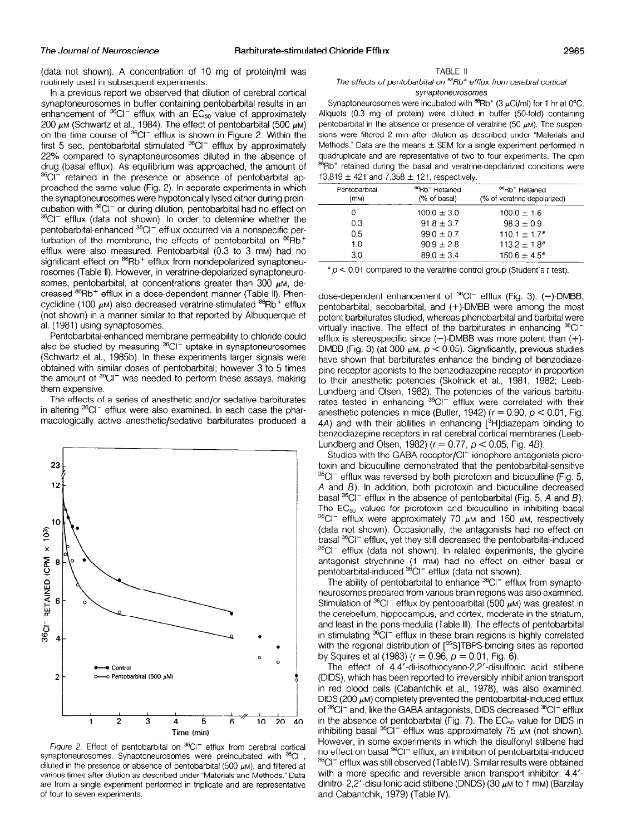(data not shown). A concentration of 10 mg of protein/ml was routinely used in subsequent experiments.

In a previous report we observed that dilution of cerebral cortical synaptoneurosomes in buffer containing pentobarbital results in an enhancement of  ${}^{36}Cl^-$  efflux with an  $EC_{50}$  value of approximately 200  $\mu$ m (Schwartz et al., 1984). The effect of pentobarbital (500  $\mu$ m on the time course of 36CI- efflux is shown in Figure 2. Within the first 5 sec, pentobarbital stimulated  ${}^{36}Cl^-$  efflux by approximately 22% compared to synaptoneurosomes diluted in the absence of drug (basal efflux). As equilibrium was approached, the amount of <sup>36</sup>CI<sup>-</sup> retained in the presence or absence of pentobarbital approached the same value (Fig. 2). In separate experiments in which the synaptoneurosomes were hypotonically lysed either during preincubation with <sup>36</sup>CI<sup>-</sup> or during dilution, pentobarbital had no effect on <sup>36</sup>CI<sup>-</sup> efflux (data not shown). In order to determine whether the pentobarbital-enhanced <sup>36</sup>CI<sup>-</sup> efflux occurred via a nonspecific perturbation of the membrane, the effects of pentobarbital on <sup>86</sup>Rb<sup>+</sup> efflux were also measured. Pentobarbital (0.3 to 3 mM) had no significant effect on <sup>86</sup>Rb<sup>+</sup> efflux from nondepolarized synaptoneurosomes (Table II). However, in veratrine-depolarized synaptoneurosomes, pentobarbital, at concentrations greater than 300  $\mu$ M, decreased  $^{86}$ Rb<sup>+</sup> efflux in a dose-dependent manner (Table II). Phencyclidine (100  $\mu$ M) also decreased veratrine-stimulated  $^{86}$ Rb<sup>+</sup> efflux (not shown) in a manner similar to that reported by Albuquerque et al. (1981) using synaptosomes.

Pentobarbital-enhanced membrane permeability to chloride could also be studied by measuring <sup>36</sup>CI<sup>-</sup> uptake in synaptoneurosomes (Schwartz et al., 1985b). In these experiments larger signals were obtained with similar doses of pentobarbital; however 3 to 5 times the amount of <sup>36</sup>CI<sup>-</sup> was needed to perform these assays, making them expensive.

The effects of a series of anesthetic and/or sedative barbiturates in altering  ${}^{36}$ CI<sup>-</sup> efflux were also examined. In each case the pharmacologically active anesthetic/sedative barbiturates produced a



 $\eta$ gae z. Enect of pentoparpital on  $\theta$  eniux from cerebral control synaptoneurosomes. Synaptoneurosomes were preincubated with <sup>36</sup>Cl<sup>-</sup>, diluted in the presence or absence of pentobarbital (500  $\mu$ M), and filtered at various times after dilution as described under "Materials and Methods." Data are from a single experiment performed in triplicate and are representative of four to seven experiments.

#### TABLE II

## The effects of pentobarbital on  $^{86}$ Rb<sup>+</sup> efflux from cerebral cortical synaptoneurosomes

Synaptoneurosomes were incubated with  $^{86}$ Rb<sup>+</sup> (3  $\mu$ Ci/ml) for 1 hr at 0°C. Aliquots (0.3 mg of protein) were diluted in buffer (50-fold) containing pentobarbital in the absence or presence of veratrine (50  $\mu$ M). The suspensions were filtered 2 min after dilution as described under "Materials and Methods." Data are the means  $\pm$  SEM for a single experiment performed in quadruplicate and are representative of two to four experiments. The cpm <sup>86</sup>Rb<sup>+</sup> retained during the basal and veratrine-depolarized conditions were 13,819  $\pm$  421 and 7,358  $\pm$  121, respectively.

| Pentobarbital<br>(mM) | <sup>86</sup> Rb <sup>+</sup> Retained<br>(% of basal) | <sup>86</sup> Rb <sup>+</sup> Retained<br>(% of veratrine-depolarized) |
|-----------------------|--------------------------------------------------------|------------------------------------------------------------------------|
| 0                     | $100.0 \pm 3.0$                                        | $100.0 \pm 1.6$                                                        |
| 0.3                   | $91.8 \pm 3.7$                                         | $98.3 \pm 0.9$                                                         |
| 0.5                   | $99.0 \pm 0.7$                                         | $110.1 + 1.7a$                                                         |
| 1.0                   | $90.9 \pm 2.8$                                         | $113.2 \pm 1.8^{\circ}$                                                |
| 30                    | $89.0 \pm 3.4$                                         | $150.6 \pm 4.5^{\circ}$                                                |

 $a^2$  p < 0.01 compared to the veratrine control group (Student's t test).

dose-dependent enhancement of  ${}^{36}Cl^-$  efflux (Fig. 3). (-)-DMBB, pentobarbital, secobarbital, and (+)-DMBB were among the most potent barbiturates studied, whereas phenobarbital and barbital were virtually inactive. The effect of the barbiturates in enhancing <sup>36</sup>CI<sup>-</sup> efflux is stereospecific since  $(-)$ -DMBB was more potent than  $(+)$ -DMBB (Fig. 3) (at 300  $\mu$ m,  $p < 0.05$ ). Significantly, previous studies have shown that barbiturates enhance the binding of benzodiazepine receptor agonists to the benzodiazepine receptor in proportion to their anesthetic potencies (Skolnick et al., 1981, 1982; Leeb-Lundberg and Olsen, 1982). The potencies of the various barbiturates tested in enhancing <sup>36</sup>Cl<sup>-</sup> efflux were correlated with their anesthetic potencies in mice (Butler, 1942) ( $r = 0.90$ ,  $\rho < 0.01$ , Fig. 4A) and with their abilities in enhancing  $[{}^{3}H]$ diazepam binding to benzodiazepine receptors in rat cerebral cortical membranes (Leeb-Lundberg and Olsen, 1982) ( $r = 0.77$ ,  $p < 0.05$ , Fig. 4B).

Studies with the GABA receptor/Cl<sup>-</sup> ionophore antagonists picrotoxin and bicuculline demonstrated that the pentobarbital-sensitive  $36$ CI<sup>-</sup> efflux was reversed by both picrotoxin and bicuculline (Fig. 5, A and 8). In addition, both picrotoxin and bicuculline decreased basal  ${}^{36}$ CI<sup>-</sup> efflux in the absence of pentobarbital (Fig. 5, A and B). The  $EC_{50}$  values for picrotoxin and bicuculline in inhibiting basal  $36$ CI<sup>-</sup> efflux were approximately 70  $\mu$ M and 150  $\mu$ M, respectively (data not shown). Occasionally, the antagonists had no effect on basal <sup>36</sup>CI<sup>-</sup> efflux, yet they still decreased the pentobarbital-induced 36CI<sup>-</sup> efflux (data not shown). In related experiments, the glycine antagonist strychning structure or effect on either based pentopentor superintro (in may had no check on

The ability of pentobarbital to enhance  ${}^{36}$ CI<sup>-</sup> efflux from synaptoneurosomes prepared from various brain regions was also examined. Stimulation of  ${}^{36}$ CI<sup>-</sup> efflux by pentobarbital (500  $\mu$ M) was greatest in the cerebellum, hippocampus, and cortex, moderate in the striatum, and least in the pons-medulla (Table Ill). The effects of pentobarbital in stimulating  ${}^{36}$ CI<sup>-</sup> efflux in these brain regions is highly correlated with the regional distribution of  $^{35}$ S3TBPS-biodic sites as reported.  $\frac{1}{2}$  or  $\frac{1}{2}$  or  $\frac{1}{2}$  or  $\frac{1}{2}$  or  $\frac{1}{2}$  or  $\frac{1}{2}$  or  $\frac{1}{2}$ .  $T_{\text{t}}$  of  $\alpha$  (1500)  $\mu$  - 0.50,  $\mu$  - 0.01, 11g. 0).

 $(CD)$ , which chiefs to irreversible has been reported to infinite anion transported to its infinite anion transported to its infinite and  $(CD)$ in red blood cells (Cabantell et al., 1978) was also examined to the contract examined to the contract spot in red blood cells (Cabantchik et al., 1978), was also examined.<br>DIDS (200  $\mu$ M) completely prevented the pentobarbital-induced efflux  $\sim$  36Cl- and  $\sim$  36Cl- and  $\sim$  36Cl- and  $\sim$  36Cl- and 36Cl-  $\sim$  36Cl-  $\sim$  36Cl-  $\sim$  36Cl-  $\sim$  36Cl-  $\sim$  36Cl-  $\sim$  36Cl-  $\sim$  36Cl-  $\sim$  36Cl-  $\sim$  36Cl-  $\sim$  36Cl-  $\sim$  36Cl-  $\sim$  36Cl-  $\sim$  36Cl-  $\sim$  36Cl-  $\sigma$  of any mentoped analytics, biby decided to Entra in the absence of pentobarbital (Fig. 7). The  $EC_{50}$  value for DIDS in in hibiting basal  ${}^{36}Cl^-$  efflux was approximately 75  $\mu$ M (not shown). However, in some experiments in which the disulfonyl stilbene had no effect on basal <sup>36</sup>CI<sup>-</sup> efflux, an inhibition of pentobarbital-induced  $^{36}$ Cl $^-$  efflux was still observed (Table IV). Similar results were obtained with a more specific and reversible anion transport inhibitor, 4,4'dinitro- 2,2'-disulfonic acid stilbene (DNDS) (30  $\mu$ M to 1 mM) (Barzilay and Cabantchik, 1979) (Table IV).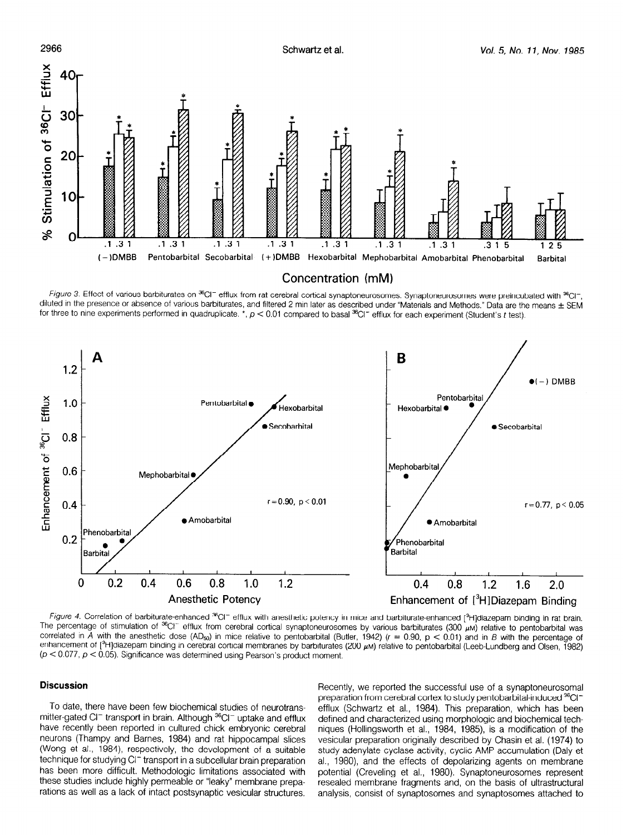

Figure 3. Effect of various barbiturates on <sup>36</sup>CI<sup>-</sup> efflux from rat cerebral cortical synaptoneurosomes. Synaptoneurosomes were preincubated with <sup>36</sup>CI<sup>-</sup>, diluted in the presence or absence of various barbiturates, and filtered 2 min later as described under "Materials and Methods." Data are the means  $\pm$  SEM for three to nine experiments performed in quadruplicate.  $\star$ ,  $p < 0.01$  compared to basal  $^{36}$ CI<sup>-</sup> efflux for each experiment (Student's t test).



The percentage of substances of stimulation of stimulation cerebral cortical synaptomes and parpheneurosomethical production of pentobarbital production of pentobarbital was a series of pentobarbital was a series of pentob The percentage of stimulation of  ${}^{36}$ Cl<sup>-</sup> efflux from cerebral cortical synaptoneurosomes by various barbiturates (300  $\mu$ M) relative to pentobarbital was correlated in A with the anesthetic dose (AD<sub>50</sub>) in mice relative to pentobarbital (Butler, 1942) ( $r = 0.90$ ,  $p < 0.01$ ) and in B with the percentage of enhancement of [<sup>3</sup>H]diazepam binding in cerebral cortical membranes by barbiturates (200  $\mu$ M) relative to pentobarbital (Leeb-Lundberg and Olsen, 1982)<br>(p < 0.077, p < 0.05). Significance was determined using Pearson's

## **Discussion**

To date, there have been few biochemical studies of neurotrans- $\frac{1}{2}$  value, there have been lew blocheringal studies of heurotransmitter-gated CI<sup>-</sup> transport in brain. Although <sup>36</sup>CI<sup>-</sup> uptake and efflux have recently been reported in cultured chick embryonic cerebral neurons (Thampy and Barnes, 1984) and rat hippocampal slices (Wong et al., 1984), respectively, the development of a suitable technique for studying CI<sup>-</sup> transport in a subcellular brain preparation has been more difficult. Methodologic limitations associated with these studies include highly permeable or "leaky" membrane preparations as well as a lack of intact postsynaptic vesicular structures.

Recently, we reported the successful use of a synaptoneurosomal precently, we reported the succession use of a synaptometric solitation preparation from cerebral cortex to study pentobarbital-induced <sup>36</sup>Cl<sup>-</sup> efflux (Schwartz et al., 1984). This preparation, which has been defined and characterized using morphologic and biochemical techniques (Hollingsworth et al., 1984, 1985), is a modification of the vesicular preparation originally described by Chasin et al. (1974) to study adenylate cyclase activity, cyclic AMP accumulation (Daly et al., 1980), and the effects of depolarizing agents on membrane potential (Creveling et al., 1980). Synaptoneurosomes represent resealed membrane fragments and, on the basis of ultrastructural analysis, consist of synaptosomes and synaptosomes attached to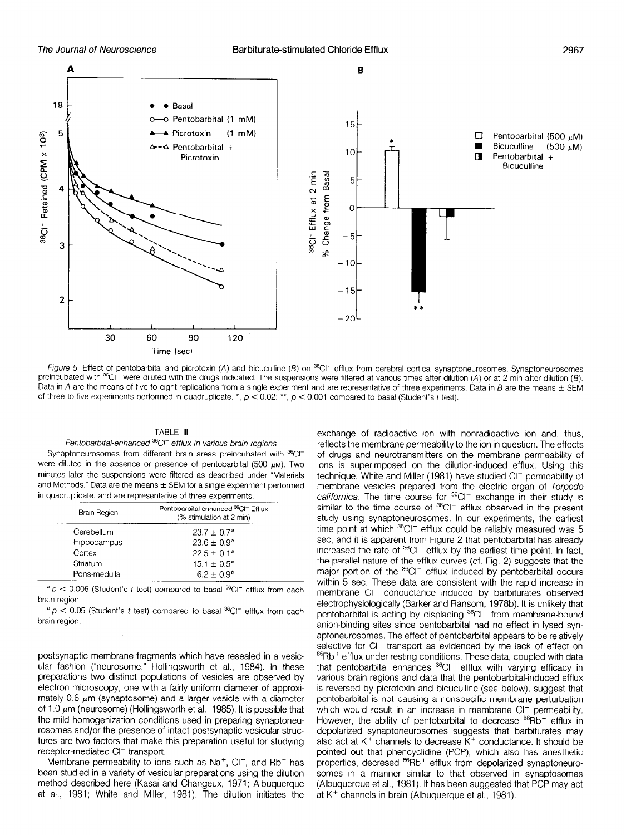

Figure 5. Effect of pentobarbital and picrotoxin (A) and bicuculline (B) on  ${}^{36}C$  = efflux from cerebral cortical synaptoneurosomes. Synaptoneurosomes preincubated with  $^{36}$ CI<sup>-</sup> were diluted with the drugs indicated. The suspensions were filtered at various times after dilution (A) or at 2 min after dilution (B). Data in A are the means of five to eight replications from a single experiment and are representative of three experiments. Data in B are the means  $\pm$  SEM of three to five experiments performed in quadruplicate. \*,  $p < 0.02$ ; \*\*,  $p < 0.001$  compared to basal (Student's t test).

#### TABLE Ill

#### Pentobarbital-enhanced <sup>36</sup>C/<sup>-</sup> efflux in various brain regions

Synaptoneurosomes from different brain areas preincubated with <sup>36</sup>Cl<sup>-</sup> were diluted in the absence or presence of pentobarbital (500  $\mu$ M). Two minutes later the suspensions were filtered as described under "Materials and Methods." Data are the means  $\pm$  SEM for a single experiment performed in quadruplicate, and are representative of three experiments.

| <b>Brain Region</b> | Pentobarbital-enhanced <sup>36</sup> CI <sup>-</sup> Efflux<br>(% stimulation at 2 min) |
|---------------------|-----------------------------------------------------------------------------------------|
| Cerebellum          | $23.7 \pm 0.7^{\circ}$                                                                  |
| Hippocampus         | $23.6 \pm 0.9^{\circ}$                                                                  |
| Cortex              | $22.5 \pm 0.1^a$                                                                        |
| Striatum            | $15.1 \pm 0.5^{\circ}$                                                                  |
| Pons-medulla        | $6.2 \pm 0.9^{b}$                                                                       |

 ${}^{a}P$  < 0.005 (Student's t test) compared to basal  ${}^{36}C$ I<sup>-</sup> efflux from each brain region.

 $b$   $p$  < 0.05 (Student's t test) compared to basal  ${}^{36}$ Cl<sup>-</sup> efflux from each brain region.

postsynaptic membrane fragments which have resealed in a vesicular fashion ("neurosome," Hollingsworth et al., 1984). In these preparations two distinct populations of vesicles are observed by electron microscopy, one with a fairly uniform diameter of approximately 0.6  $\mu$ m (synaptosome) and a larger vesicle with a diameter of 1.0  $\mu$ m (neurosome) (Hollingsworth et al., 1985). It is possible that the mild homogenization conditions used in preparing synaptoneurosomes and/or the presence of intact postsynaptic vesicular structhe control are two factors of make posts make venicial one reference and the receptor transport.

receptor-mediated Cl<sup>-</sup> transport.<br>Membrane permeability to ions such as Na<sup>+</sup>, Cl<sup>-</sup>, and Rb<sup>+</sup> has been studied in a variety of vesicular preparations using the dilution method described here (Kasai and Changeux, 1971; Albuquerque et al., 1981; White and Miller, 1981). The dilution initiates the

exchange of radioactive ion with nonradioactive ion and, thus, reflects the membrane permeability to the ion in question. The effects of drugs and neurotransmitters on the membrane permeability of ions is superimposed on the dilution-induced efflux. Using this technique, White and Miller (1981) have studied Cl<sup>-</sup> permeability of membrane vesicles prepared from the electric organ of Torpedo californica. The time course for  ${}^{36}$ CI<sup>-</sup> exchange in their study is similar to the time course of  ${}^{36}$ CI<sup>-</sup> efflux observed in the present study using synaptoneurosomes. In our experiments, the earliest time point at which <sup>36</sup>CI<sup>-</sup> efflux could be reliably measured was 5 sec, and it is apparent from Figure 2 that pentobarbital has already increased the rate of  ${}^{36}$ CI<sup>-</sup> efflux by the earliest time point. In fact, the parallel nature of the efflux curves (cf. Fig. 2) suggests that the major portion of the  ${}^{36}$ CI<sup>-</sup> efflux induced by pentobarbital occurs within 5 sec. These data are consistent with the rapid increase in membrane CI<sup>-</sup> conductance induced by barbiturates observed electrophysiologically (Barker and Ransom, 1978b). It is unlikely that pentobarbital is acting by displacing <sup>36</sup>CI<sup>-</sup> from membrane-bound anion-binding sites since pentobarbital had no effect in lysed synaptoneurosomes. The effect of pentobarbital appears to be relatively selective for CI<sup>-</sup> transport as evidenced by the lack of effect on <sup>86</sup>Rb<sup>+</sup> efflux under resting conditions. These data, coupled with data that pentobarbital enhances <sup>36</sup>CI<sup>-</sup> efflux with varying efficacy in war pentobarbital-effluxioed en erlian-with varying emettey vanced brain regions and data that the peritopanoital induced email perchanged by pionetoxing and prodoumno food below), adggeent permeability for more cademig a mortepedine membrane permitia which would result in an increase in membrane  $\cup_{\infty}$  permeability.  $\overline{\phantom{a}}$  depositive synaptoneurosomes suggests that  $\overline{\phantom{a}}$  is the barbiturates may be respected to  $\overline{\phantom{a}}$ depolarized synaptoneurosomes suggests that barbiturates may also act at  $K^+$  channels to decrease  $K^+$  conductance. It should be pointed out that phencyclidine (PCP), which also has anesthetic properties, decresed <sup>86</sup>Rb<sup>+</sup> efflux from depolarized synaptoneurosomes in a manner similar to that observed in synaptosomes (Albuquerque et al., 1981). It has been suggested that PCP may act at  $K^+$  channels in brain (Albuquerque et al., 1981).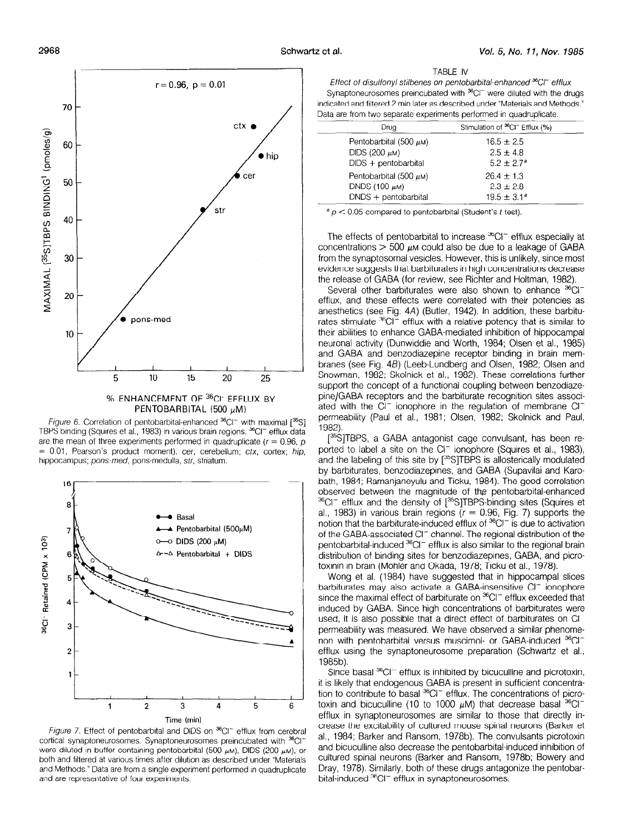2968



% ENHANCEMENT OF <sup>36</sup>CI<sup>-</sup> EFFLUX BY PENTOBARBITAL (500  $\mu$ M)

Figure 6. Correlation of pentobarbital-enhanced  ${}^{36}$ CI<sup>-</sup> with maximal  $[{}^{35}S]$ TBPS binding (Squires et al., 1983) in various brain regions. <sup>36</sup>CI<sup>-</sup> efflux data are the mean of three experiments performed in quadruplicate ( $r = 0.96$ , p = 0.01, Pearson's product moment). cer, cerebellum; ctx, cortex; hip, hippocampus; pons-med, pons-medulla, str, striatum.



*Figure 1.* Effect of pentobarbital and DIDS on "CI efflux from cereb cortical synaptoneurosomes. Synaptoneurosomes preincubated with <sup>36</sup>Cl<sup>-</sup> were diluted in buffer containing pentobarbital (500  $\mu$ M), DIDS (200  $\mu$ M), or both and filtered at various times after dilution as described under "Materials and Methods." Data are from a single experiment performed in quadruplicate and are representative of four experiments.

TABLE IV

Effect of disulfonyl stilbenes on pentobarbital-enhanced <sup>36</sup>Cl<sup>-</sup> efflux Synaptoneurosomes preincubated with  $^{36}$ Cl<sup>-</sup> were diluted with the drugs indicated and filtered 2 min later as described under "Materials and Methods." Data are from two separate experiments performed in quadruplicate.

| Drua                        | Stimulation of <sup>36</sup> CI <sup>-</sup> Efflux (%) |  |
|-----------------------------|---------------------------------------------------------|--|
| Pentobarbital (500 $\mu$ M) | $16.5 \pm 2.5$                                          |  |
| DIDS (200 $\mu$ M)          | $2.5 \pm 4.8$                                           |  |
| $DIDS + pentobarbital$      | $5.2 \pm 2.7^a$                                         |  |
| Pentobarbital (500 $\mu$ M) | $26.4 \pm 1.3$                                          |  |
| DNDS (100 $\mu$ M)          | $2.3 \pm 2.8$                                           |  |
| $DNDS + pentobarbital$      | $19.5 \pm 3.1^{\circ}$                                  |  |

 $a<sub>p</sub> < 0.05$  compared to pentobarbital (Student's t test).

The effects of pentobarbital to increase  $36$ Cl<sup>-</sup> efflux especially at concentrations  $>$  500  $\mu$ m could also be due to a leakage of GABA from the synaptosomal vesicles. However, this is unlikely, since most evidence suggests that barbiturates in high concentrations decrease the release of GABA (for review, see Richter and Holtman, 1982).

Several other barbiturates were also shown to enhance <sup>36</sup>Cl<sup>-</sup> efflux, and these effects were correlated with their potencies as anesthetics (see Fig. 4A) (Butler, 1942). In addition, these barbiturates stimulate  ${}^{36}$ CI<sup>-</sup> efflux with a relative potency that is similar to their abilities to enhance GABA-mediated inhibition of hippocampal neuronal activity (Dunwiddie and Worth, 1984; Olsen et al., 1985) and GABA and benzodiazepine receptor binding in brain membranes (see Fig. 4B) (Leeb-Lundberg and Olsen, 1982; Olsen and Snowman, 1982; Skolnick et al., 1982). These correlations further support the concept of a functional coupling between benzodiazepine/GABA receptors and the barbiturate recognition sites associated with the  $Cl^-$  ionophore in the regulation of membrane  $Cl^$ permeability (Paul et al., 1981; Olsen, 1982; Skolnick and Paul, 1982).

[<sup>35</sup>S]TBPS, a GABA antagonist cage convulsant, has been reported to label a site on the  $Cl^-$  ionophore (Squires et al., 1983), and the labeling of this site by [<sup>35</sup>S]TBPS is allosterically modulated by barbiturates, benzodiazepines, and GABA (Supavilai and Karobath, 1984; Ramanjaneyulu and Ticku, 1984). The good correlation observed between the magnitude of the pentobarbital-enhanced %CI- efflux and the density of [35S]TBPS-binding sites (Squires et alle and the density of political containing sites (equites of al., 1983) in various brain regions  $(r = 0.96,$  Fig. 7) supports the notion that the barbiturate-induced efflux of  $^{36}$ Cl<sup>-</sup> is due to activation of the GABA-associated Cl<sup>-</sup> channel. The regional distribution of the pentobarbital-induced <sup>36</sup>CI<sup>-</sup> efflux is also similar to the regional brain peritoparplitan iduced of binding also situation the regional pian distribution of britaing sites for benzoulazepines, GADA, and toxinin in brain (Mohler and Okada, 1978; Ticku et al., 1978).<br>Wong et al. (1984) have suggested that in hippocampal slices

wong et al. (1504) have suggested that in hippocampal slice  $s$  may also activate a chapa-litseristive of fluid prior exceeding that  $s$  $\frac{1}{2}$  induced by GABA. Since the concentration of barbiturates were discussed and barbiturates were  $\frac{1}{2}$  and  $\frac{1}{2}$  and  $\frac{1}{2}$  and  $\frac{1}{2}$  and  $\frac{1}{2}$  and  $\frac{1}{2}$  and  $\frac{1}{2}$  and  $\frac{1}{2}$  and  $\frac{1$  $n$ used, by GADA. Since high concentrations or barbiturates were used, it is also possible that a direct effect of barbiturates on CI<sup>-</sup> permeability was measured. We have observed a similar phenomenon with pentobarbital versus muscimol or GABA-induced <sup>36</sup>CI<sup>-</sup> efflux using the synaptoneurosome preparation (Schwartz et al., 1985b). SIN).<br>Since basal 36Ci- effects is inhibited by bicucular inhibited by bicucular and piccolar and piccolar and picco

Since pasar for entrux is immoned by pictualmer and pictorioxi it is likely that endogenous GABA is present in sufficient concentration to contribute to basal  ${}^{36}$ CI<sup>-</sup> efflux. The concentrations of picrotoxin and bicuculline (10 to 1000  $\mu$ M) that decrease basal  ${}^{36}Cl^$ efflux in synaptoneurosomes are similar to those that directly increase the excitability of cultured mouse spinal neurons (Barker et al., 1984; Barker and Ransom, 1978b). The convulsants picrotoxin and bicuculline also decrease the pentobarbital induced inhibition of cultured spinal neurons (Barker and Ransom, 1978b; Bowery and Dray, 1978). Similarly, both of these drugs antagonize the pentobar-<br>bital-induced <sup>36</sup>CI<sup>-</sup> efflux in synaptoneurosomes.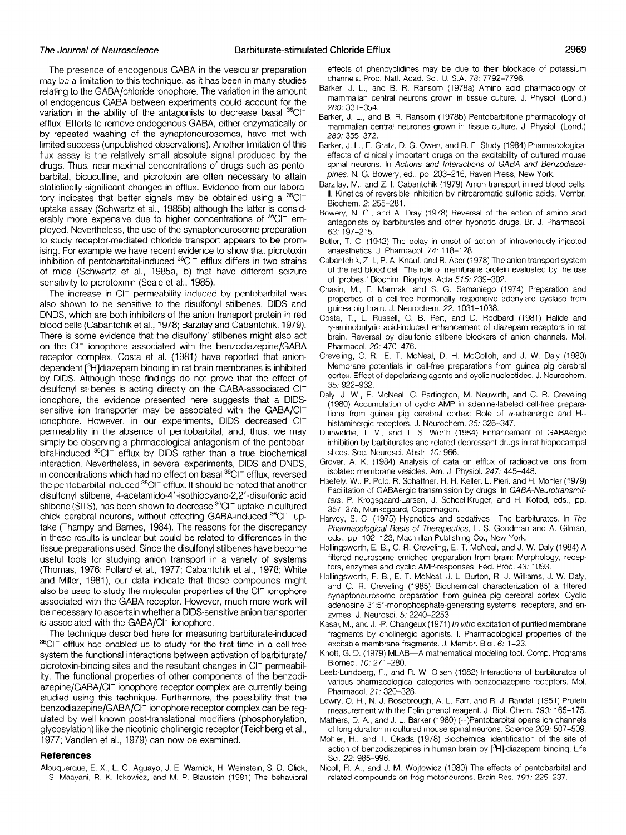The presence of endogenous GABA in the vesicular preparation may be a limitation to this technique, as it has been in many studies relating to the GABA/chloride ionophore. The variation in the amount of endogenous GABA between experiments could account for the variation in the ability of the antagonists to decrease basal  ${}^{36}Cl^$ efflux. Efforts to remove endogenous GABA, either enzymatically or by repeated washing of the synaptoneurosomes, have met with limited success (unpublished observations). Another limitation of this flux assay is the relatively small absolute signal produced by the drugs. Thus, near-maximal concentrations of drugs such as pentobarbital, bicuculline, and picrotoxin are often necessary to attain statistically significant changes in efflux. Evidence from our laboratory indicates that better signals may be obtained using a  ${}^{36}Cl^$ uptake assay (Schwartz et al., 1985b) although the latter is considerably more expensive due to higher concentrations of <sup>36</sup>CI<sup>-</sup> employed. Nevertheless, the use of the synaptoneurosome preparation to study receptor-mediated chloride transport appears to be promising. For example we have recent evidence to show that picrotoxin inhibition of pentobarbital-induced  ${}^{36}Cl^-$  efflux differs in two strains of mice (Schwartz et al., 1985a, b) that have different seizure sensitivity to picrotoxinin (Seale et al., 1985).

The increase in Cl<sup>-</sup> permeability induced by pentobarbital was also shown to be sensitive to the disulfonyl stilbenes, DIDS and DNDS, which are both inhibitors of the anion transport protein in red blood cells (Cabantchik et al., 1978; Barzilay and Cabantchik, 1979). There is some evidence that the disulfonyl stilbenes might also act on the CI<sup>-</sup> ionophore associated with the benzodiazepine/GABA receptor complex. Costa et al. (1981) have reported that aniondependent [3H]diazepam binding in rat brain membranes is inhibited by DIDS. Although these findings do not prove that the effect of disulfonyl stilbenes is acting directly on the GABA-associated Clionophore, the evidence presented here suggests that a DIDSsensitive ion transporter may be associated with the GABA/CIionophore. However, in our experiments, DIDS decreased CIpermeability in the absence of pentobarbital, and, thus, we may simply be observing a phrmacological antagonism of the pentobarbital-induced  ${}^{36}$ Cl<sup>-</sup> efflux by DIDS rather than a true biochemical interaction. Nevertheless, in several experiments, DIDS and DNDS, in concentrations which had no effect on basal <sup>36</sup>CI<sup>-</sup> efflux, reversed the pentobarbital-induced  ${}^{36}$ CI<sup>-</sup> efflux. It should be noted that another disulfonyl stilbene, 4-acetamido-4'.isothiocyano-2,2'-disulfonic acid stilbene (SITS), has been shown to decrease <sup>36</sup>CI<sup>-</sup> uptake in cultured chick cerebral neurons, without effecting GABA-induced <sup>36</sup>CI<sup>-</sup> uptake (Thampy and Barnes, 1984). The reasons for the discrepancy in these results is unclear but could be related to differences in the tissue preparations used. Since the disulfonyl stilbenes have become used to proper anonic documents and and anomicity remportance individuals doctor tools for stadying annot transport in a vancty of system and Miller, 1981), our data indicate that these compounds might and which, tool), our data indicate that these compounds may also be used to study the molecular properties of the  $Cl<sup>-</sup>$  ionophore associated with the GABA receptor. However, much more work will be necessary to ascertain whether a DIDS-sensitive anion transporter is associated with the GABA/CI<sup>-</sup> ionophore.

The technique described here for measuring barbiturate-induced  $36$ Cl<sup>-</sup> efflux has enabled us to study for the first time in a cell-free system the functional interactions between activation of barbiturate/ picrotoxin-binding sites and the resultant changes in CI<sup>-</sup> permeability. The functional properties of other components of the benzodiazepine/GABA/CI<sup>-</sup> ionophore receptor complex are currently being studied using this technique. Furthermore, the possibility that the benzodiazepine/GABA/CI<sup>-</sup> ionophore receptor complex can be regulated by well known post-translational modifiers (phosphorylation, glycosylation) like the nicotinic cholinergic receptor (Teichberg et al., References

## **References**

Albuquerque, E. X., L. G. Aguayo, J. E. Warnick, H. Weinstein, S. D. Glick, S. Maayani, R. K. Ickowicz, and M. P. Blaustein (1981) The behavioral

effects of phencyclldines may be due to their blockade of potassium channels. Proc. Natl. Acad. Sci. U. S.A. 78: 7792-7796.

- Barker, J. L., and B. R. Ransom (1978a) Amino acid pharmacology of mammalian central neurons grown in tissue culture. J. Physlol. (Lond.) 280: 331-354.
- Barker, J. L., and B. R. Ransom (1978b) Pentobarbitone pharmacology of mammalian central neurones grown in tissue culture. J. Physiol. (Lond.) 280: 355-372.
- Barker, J. L., E. Gratz, D. G. Owen, and R. E. Study (1984) Pharmacological effects of cllnically important drugs on the excitability of cultured mouse spinal neurons. In Actions and Interactions of GABA and Benzodiazepines, N. G. Bowery, ed., pp. 203-216, Raven Press, New York.
- Barzilay, M., and Z. I. Cabantchik (1979) Anion transport in red blood cells. II. Kinetics of reversible inhibition by nitroaromatic sulfonic acids. Membr. Biochem. 2: 255-281.
- Bowery, N. G., and A. Dray (1978) Reversal of the action of amino acid antagonists by barbiturates and other hypnotic drugs. Br. J. Pharmacol. 63: 197-215.
- Butler, T. C. (1942) The delay in onset of action of intravenously injected anaesthetics. J. Pharmacol. 74: 118-128.
- Cabantchik, Z. I., P. A. Knauf, and R. Aser (1978) The anion transport system of the red blood cell. The role of membrane protein evaluated by the use of 'probes.' Biochim. Biophys. Acta 575: 239-302.
- Chasin, M., F. Mamrak, and S. G. Samaniego (1974) Preparation and properties of a cell-free hormonally responsive adenylate cyclase from guinea pig brain. J. Neurochem. 22: 1031-1038.
- Costa, T., L. Russell, C. B. Pert, and D. Rodbard (1981) Halide and  $\gamma$ -aminobutyric acid-induced enhancement of diazepam receptors in rat brain. Reversal by disulfonic stilbene blockers of anion channels. Mol. Pharmacol. 20: 470-476.
- Creveling, C. R., E. T. McNeal, D. H. McColloh, and J. W. Daly (1980) Membrane potentials in cell-free preparations from guinea pig cerebral cortex: Effect of depolarizing agents and cyclic nucleotides. J. Neurochem. 35: 922-932.
- Daly, J. W., E. McNeal, C. Partington, M. Neuwirth, and C. R. Creveling (1980) Accumulation of cyclic AMP in adenine-labeled cell-free preparations from guinea pig cerebral cortex: Role of  $\alpha$ -adrenergic and H<sub>1</sub>histaminergic receptors. J. Neurochem. 35: 326-347.
- Dunwiddie, T. V., and T. S. Worth (1984) Enhancement of GABAergic inhibition by barbiturates and related depressant drugs in rat hippocampal slices. Soc. Neurosci. Abstr. 10: 966.
- Grover, A. K. (1984) Analysis of data on efflux of radioactive ions from isolated membrane vesicles. Am. J. Physiol. 247: 445-448.
- Haefely, W., P. Pole, R. Schaffner, H. H. Keller, L. Pieri, and H. Mohler (1979) Facilitation of GABAergic transmission by drugs. In GABA-Neurotransmitters, P. Krogsgaard-Larsen, J. Scheel-Kruger, and H. Kofod, eds., pp. 357-375, Munksgaard, Copenhagen.  $\frac{1}{2}$  C. (1975), Indiansyder at  $\frac{1}{2}$  C. (1975) Hypnotics and set  $\frac{1}{2}$
- avey, o. o. (1919) hyphones and Sedanves The Barbharatos, L. B. Pharmacological Basis of Therapeutics, L. S. Goodman and A. Gilman, eds., pp. 102-123, Macmillan Publishing Co., New York.
- Hollingsworth, E. B., C. R. Creveling, E. T. McNeal, and J. W. Daly (1984) A filtered neurosome enriched preparation from brain: Morphology, receptors, enzymes and cyclic AMP-responses. Fed. Proc. 43: 1093.
- Hollingsworth, E. B., E. T. McNeal, J. L. Burton, R. J. Williams, J. W. Daly, and C. R. Creveling (1985) Biochemical characterization of a filtered synaptoneurosome preparation from guinea pig cerebral cortex: Cyclic adenosine 3'.5'-monophosphate-generating systems, receptors, and enzymes. J. Neurosci. 5: 2240-2253.
- Kasai, M., and J. P. Changeux (1971) In vitro excitation of purified membrane fragments by cholinergic agonists. I. Pharmacological properties of the excitable membrane fragments. J. Membr. Biol. 6: 1-23.
- Knott, G. D. (1979) MLAB—A mathematical modeling tool. Comp. Programs<br>Biomed. 10: 271-280. BIOTHEG, F.O., 27, 1-280, Barbiturates of barbiturates of barbiturates of barbiturates of barbiturates of barbiturates of barbiturates of barbiturates of barbiturates of barbiturates of barbiturates of barbiturates of bar
- eb-Lundberg, F., and H. W. Olsen (1982) interactions of barbiturates o various pharmacological categories with benzodiazepine receptors. Mol. Pharmacol. 21: 320-328.
- Lowry, O. H., N. J. Rosebrough, A. L. Farr, and R. J. Randall (1951) Protein measurement with the Folin phenol reagent. J. Biol. Chem. 193: 165-175.
- Mathers, D. A., and J. L. Barker (1980) (-)Pentobarbital opens ion channels. of long duration in cultured mouse spinal neurons. Science 209: 507-509.
- Mohler, H., and T. Okada (1978) Biochemical identification of the site of action of benzodiazepines in human brain by [3H]-diazepam binding. Life Sci. 22: 985-996.
- Nicoll, R. A., and J. M. Wojtowicz (1980) The effects of pentobarbital and related compounds on frog motoneurons. Brain Res. 191: 225-237.